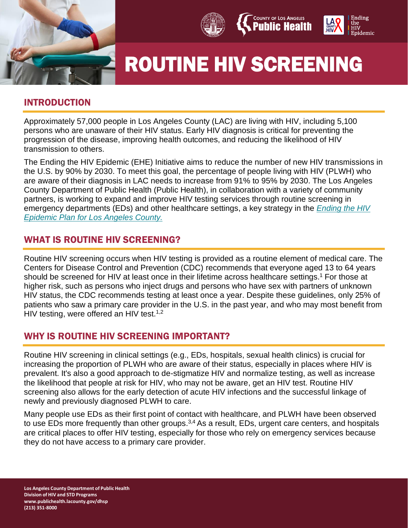







# ROUTINE HIV SCREENING

# INTRODUCTION

Approximately 57,000 people in Los Angeles County (LAC) are living with HIV, including 5,100 persons who are unaware of their HIV status. Early HIV diagnosis is critical for preventing the progression of the disease, improving health outcomes, and reducing the likelihood of HIV transmission to others.

The Ending the HIV Epidemic (EHE) Initiative aims to reduce the number of new HIV transmissions in the U.S. by 90% by 2030. To meet this goal, the percentage of people living with HIV (PLWH) who are aware of their diagnosis in LAC needs to increase from 91% to 95% by 2030. The Los Angeles County Department of Public Health (Public Health), in collaboration with a variety of community partners, is working to expand and improve HIV testing services through routine screening in emergency departments (EDs) and other healthcare settings, a key strategy in the *[Ending the HIV](http://lacounty.hiv/)  [Epidemic Plan for Los Angeles County.](http://lacounty.hiv/)*

# WHAT IS ROUTINE HIV SCREENING?

Routine HIV screening occurs when HIV testing is provided as a routine element of medical care. The Centers for Disease Control and Prevention (CDC) recommends that everyone aged 13 to 64 years should be screened for HIV at least once in their lifetime across healthcare settings.<sup>1</sup> For those at higher risk, such as persons who inject drugs and persons who have sex with partners of unknown HIV status, the CDC recommends testing at least once a year. Despite these guidelines, only 25% of patients who saw a primary care provider in the U.S. in the past year, and who may most benefit from HIV testing, were offered an HIV test.<sup>1,2</sup>

## WHY IS ROUTINE HIV SCREENING IMPORTANT?

Routine HIV screening in clinical settings (e.g., EDs, hospitals, sexual health clinics) is crucial for increasing the proportion of PLWH who are aware of their status, especially in places where HIV is prevalent. It's also a good approach to de-stigmatize HIV and normalize testing, as well as increase the likelihood that people at risk for HIV, who may not be aware, get an HIV test. Routine HIV screening also allows for the early detection of acute HIV infections and the successful linkage of newly and previously diagnosed PLWH to care.

Many people use EDs as their first point of contact with healthcare, and PLWH have been observed to use EDs more frequently than other groups.<sup>3,4</sup> As a result, EDs, urgent care centers, and hospitals are critical places to offer HIV testing, especially for those who rely on emergency services because they do not have access to a primary care provider.